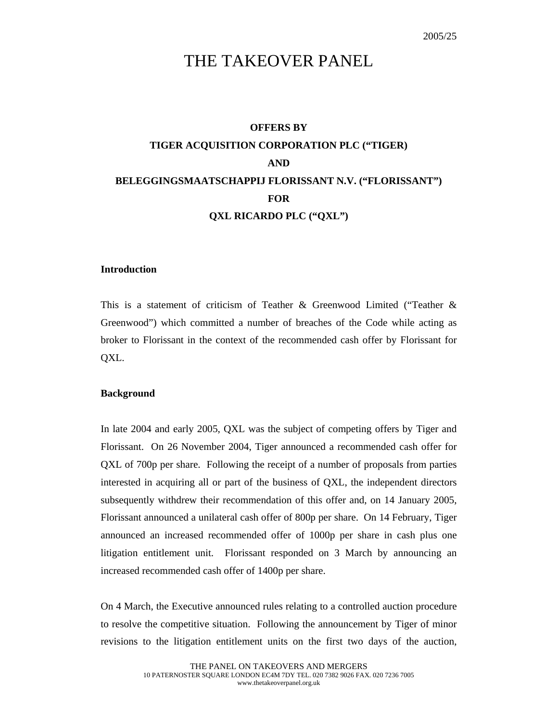# THE TAKEOVER PANEL

# **OFFERS BY TIGER ACQUISITION CORPORATION PLC ("TIGER) AND BELEGGINGSMAATSCHAPPIJ FLORISSANT N.V. ("FLORISSANT") FOR QXL RICARDO PLC ("QXL")**

### **Introduction**

This is a statement of criticism of Teather & Greenwood Limited ("Teather & Greenwood") which committed a number of breaches of the Code while acting as broker to Florissant in the context of the recommended cash offer by Florissant for QXL.

#### **Background**

In late 2004 and early 2005, QXL was the subject of competing offers by Tiger and Florissant. On 26 November 2004, Tiger announced a recommended cash offer for QXL of 700p per share. Following the receipt of a number of proposals from parties interested in acquiring all or part of the business of QXL, the independent directors subsequently withdrew their recommendation of this offer and, on 14 January 2005, Florissant announced a unilateral cash offer of 800p per share. On 14 February, Tiger announced an increased recommended offer of 1000p per share in cash plus one litigation entitlement unit. Florissant responded on 3 March by announcing an increased recommended cash offer of 1400p per share.

On 4 March, the Executive announced rules relating to a controlled auction procedure to resolve the competitive situation. Following the announcement by Tiger of minor revisions to the litigation entitlement units on the first two days of the auction,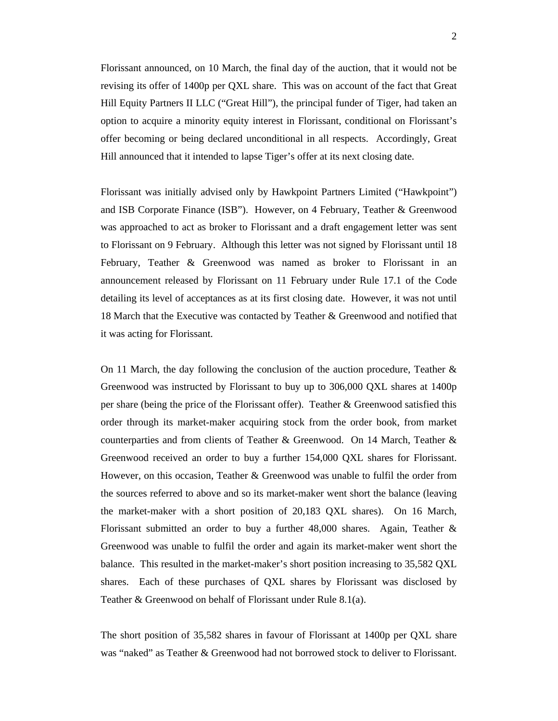Florissant announced, on 10 March, the final day of the auction, that it would not be revising its offer of 1400p per QXL share. This was on account of the fact that Great Hill Equity Partners II LLC ("Great Hill"), the principal funder of Tiger, had taken an option to acquire a minority equity interest in Florissant, conditional on Florissant's offer becoming or being declared unconditional in all respects. Accordingly, Great Hill announced that it intended to lapse Tiger's offer at its next closing date.

Florissant was initially advised only by Hawkpoint Partners Limited ("Hawkpoint") and ISB Corporate Finance (ISB"). However, on 4 February, Teather & Greenwood was approached to act as broker to Florissant and a draft engagement letter was sent to Florissant on 9 February. Although this letter was not signed by Florissant until 18 February, Teather & Greenwood was named as broker to Florissant in an announcement released by Florissant on 11 February under Rule 17.1 of the Code detailing its level of acceptances as at its first closing date. However, it was not until 18 March that the Executive was contacted by Teather & Greenwood and notified that it was acting for Florissant.

On 11 March, the day following the conclusion of the auction procedure, Teather  $\&$ Greenwood was instructed by Florissant to buy up to 306,000 QXL shares at 1400p per share (being the price of the Florissant offer). Teather & Greenwood satisfied this order through its market-maker acquiring stock from the order book, from market counterparties and from clients of Teather & Greenwood. On 14 March, Teather & Greenwood received an order to buy a further 154,000 QXL shares for Florissant. However, on this occasion, Teather & Greenwood was unable to fulfil the order from the sources referred to above and so its market-maker went short the balance (leaving the market-maker with a short position of 20,183 QXL shares). On 16 March, Florissant submitted an order to buy a further 48,000 shares. Again, Teather & Greenwood was unable to fulfil the order and again its market-maker went short the balance. This resulted in the market-maker's short position increasing to 35,582 QXL shares. Each of these purchases of QXL shares by Florissant was disclosed by Teather & Greenwood on behalf of Florissant under Rule 8.1(a).

The short position of 35,582 shares in favour of Florissant at 1400p per QXL share was "naked" as Teather & Greenwood had not borrowed stock to deliver to Florissant.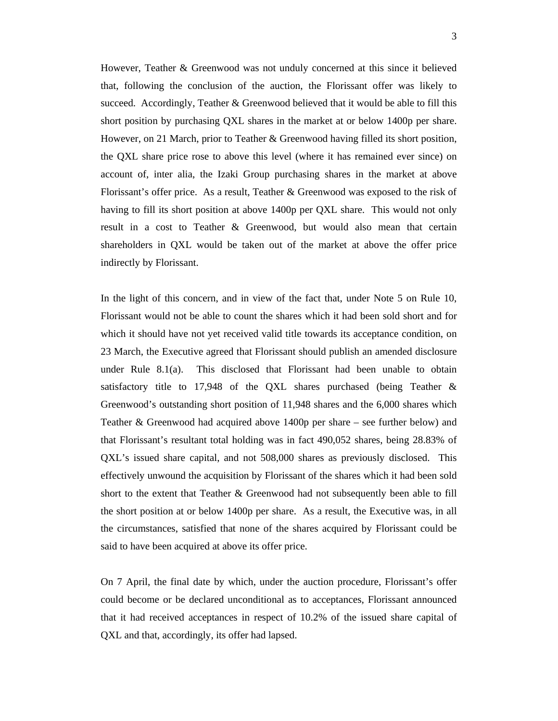However, Teather & Greenwood was not unduly concerned at this since it believed that, following the conclusion of the auction, the Florissant offer was likely to succeed. Accordingly, Teather  $\&$  Greenwood believed that it would be able to fill this short position by purchasing QXL shares in the market at or below 1400p per share. However, on 21 March, prior to Teather & Greenwood having filled its short position, the QXL share price rose to above this level (where it has remained ever since) on account of, inter alia, the Izaki Group purchasing shares in the market at above Florissant's offer price. As a result, Teather & Greenwood was exposed to the risk of having to fill its short position at above 1400p per QXL share. This would not only result in a cost to Teather & Greenwood, but would also mean that certain shareholders in QXL would be taken out of the market at above the offer price indirectly by Florissant.

In the light of this concern, and in view of the fact that, under Note 5 on Rule 10, Florissant would not be able to count the shares which it had been sold short and for which it should have not yet received valid title towards its acceptance condition, on 23 March, the Executive agreed that Florissant should publish an amended disclosure under Rule 8.1(a). This disclosed that Florissant had been unable to obtain satisfactory title to 17,948 of the QXL shares purchased (being Teather & Greenwood's outstanding short position of 11,948 shares and the 6,000 shares which Teather & Greenwood had acquired above 1400p per share – see further below) and that Florissant's resultant total holding was in fact 490,052 shares, being 28.83% of QXL's issued share capital, and not 508,000 shares as previously disclosed. This effectively unwound the acquisition by Florissant of the shares which it had been sold short to the extent that Teather & Greenwood had not subsequently been able to fill the short position at or below 1400p per share. As a result, the Executive was, in all the circumstances, satisfied that none of the shares acquired by Florissant could be said to have been acquired at above its offer price.

On 7 April, the final date by which, under the auction procedure, Florissant's offer could become or be declared unconditional as to acceptances, Florissant announced that it had received acceptances in respect of 10.2% of the issued share capital of QXL and that, accordingly, its offer had lapsed.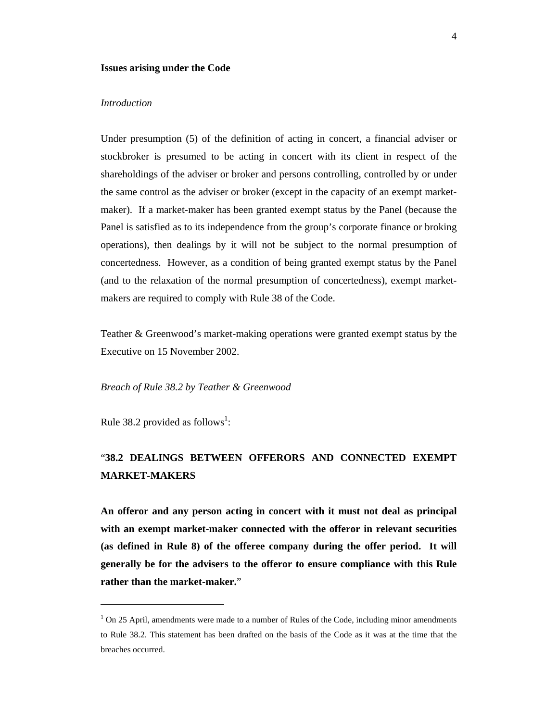#### **Issues arising under the Code**

#### *Introduction*

Under presumption (5) of the definition of acting in concert, a financial adviser or stockbroker is presumed to be acting in concert with its client in respect of the shareholdings of the adviser or broker and persons controlling, controlled by or under the same control as the adviser or broker (except in the capacity of an exempt marketmaker). If a market-maker has been granted exempt status by the Panel (because the Panel is satisfied as to its independence from the group's corporate finance or broking operations), then dealings by it will not be subject to the normal presumption of concertedness. However, as a condition of being granted exempt status by the Panel (and to the relaxation of the normal presumption of concertedness), exempt marketmakers are required to comply with Rule 38 of the Code.

Teather & Greenwood's market-making operations were granted exempt status by the Executive on 15 November 2002.

#### *Breach of Rule 38.2 by Teather & Greenwood*

Rule 38.2 provided as follows<sup>1</sup>:

 $\overline{a}$ 

## "**38.2 DEALINGS BETWEEN OFFERORS AND CONNECTED EXEMPT MARKET-MAKERS**

**An offeror and any person acting in concert with it must not deal as principal with an exempt market-maker connected with the offeror in relevant securities (as defined in Rule 8) of the offeree company during the offer period. It will generally be for the advisers to the offeror to ensure compliance with this Rule rather than the market-maker.**"

<sup>&</sup>lt;sup>1</sup> On 25 April, amendments were made to a number of Rules of the Code, including minor amendments to Rule 38.2. This statement has been drafted on the basis of the Code as it was at the time that the breaches occurred.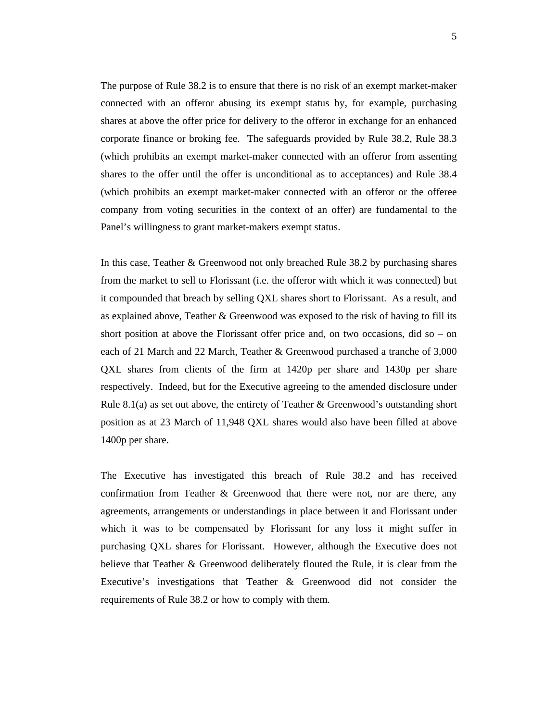The purpose of Rule 38.2 is to ensure that there is no risk of an exempt market-maker connected with an offeror abusing its exempt status by, for example, purchasing shares at above the offer price for delivery to the offeror in exchange for an enhanced corporate finance or broking fee. The safeguards provided by Rule 38.2, Rule 38.3 (which prohibits an exempt market-maker connected with an offeror from assenting shares to the offer until the offer is unconditional as to acceptances) and Rule 38.4 (which prohibits an exempt market-maker connected with an offeror or the offeree company from voting securities in the context of an offer) are fundamental to the Panel's willingness to grant market-makers exempt status.

In this case, Teather & Greenwood not only breached Rule 38.2 by purchasing shares from the market to sell to Florissant (i.e. the offeror with which it was connected) but it compounded that breach by selling QXL shares short to Florissant. As a result, and as explained above, Teather & Greenwood was exposed to the risk of having to fill its short position at above the Florissant offer price and, on two occasions, did so – on each of 21 March and 22 March, Teather & Greenwood purchased a tranche of 3,000 QXL shares from clients of the firm at 1420p per share and 1430p per share respectively. Indeed, but for the Executive agreeing to the amended disclosure under Rule 8.1(a) as set out above, the entirety of Teather & Greenwood's outstanding short position as at 23 March of 11,948 QXL shares would also have been filled at above 1400p per share.

The Executive has investigated this breach of Rule 38.2 and has received confirmation from Teather & Greenwood that there were not, nor are there, any agreements, arrangements or understandings in place between it and Florissant under which it was to be compensated by Florissant for any loss it might suffer in purchasing QXL shares for Florissant. However, although the Executive does not believe that Teather & Greenwood deliberately flouted the Rule, it is clear from the Executive's investigations that Teather & Greenwood did not consider the requirements of Rule 38.2 or how to comply with them.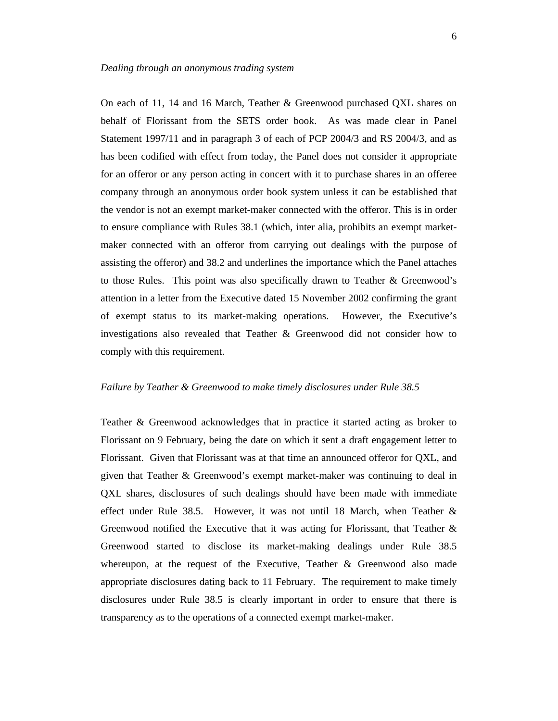On each of 11, 14 and 16 March, Teather & Greenwood purchased QXL shares on behalf of Florissant from the SETS order book. As was made clear in Panel Statement 1997/11 and in paragraph 3 of each of PCP 2004/3 and RS 2004/3, and as has been codified with effect from today, the Panel does not consider it appropriate for an offeror or any person acting in concert with it to purchase shares in an offeree company through an anonymous order book system unless it can be established that the vendor is not an exempt market-maker connected with the offeror. This is in order to ensure compliance with Rules 38.1 (which, inter alia, prohibits an exempt marketmaker connected with an offeror from carrying out dealings with the purpose of assisting the offeror) and 38.2 and underlines the importance which the Panel attaches to those Rules. This point was also specifically drawn to Teather & Greenwood's attention in a letter from the Executive dated 15 November 2002 confirming the grant of exempt status to its market-making operations. However, the Executive's investigations also revealed that Teather & Greenwood did not consider how to comply with this requirement.

#### *Failure by Teather & Greenwood to make timely disclosures under Rule 38.5*

Teather & Greenwood acknowledges that in practice it started acting as broker to Florissant on 9 February, being the date on which it sent a draft engagement letter to Florissant. Given that Florissant was at that time an announced offeror for QXL, and given that Teather & Greenwood's exempt market-maker was continuing to deal in QXL shares, disclosures of such dealings should have been made with immediate effect under Rule 38.5. However, it was not until 18 March, when Teather & Greenwood notified the Executive that it was acting for Florissant, that Teather & Greenwood started to disclose its market-making dealings under Rule 38.5 whereupon, at the request of the Executive, Teather & Greenwood also made appropriate disclosures dating back to 11 February. The requirement to make timely disclosures under Rule 38.5 is clearly important in order to ensure that there is transparency as to the operations of a connected exempt market-maker.